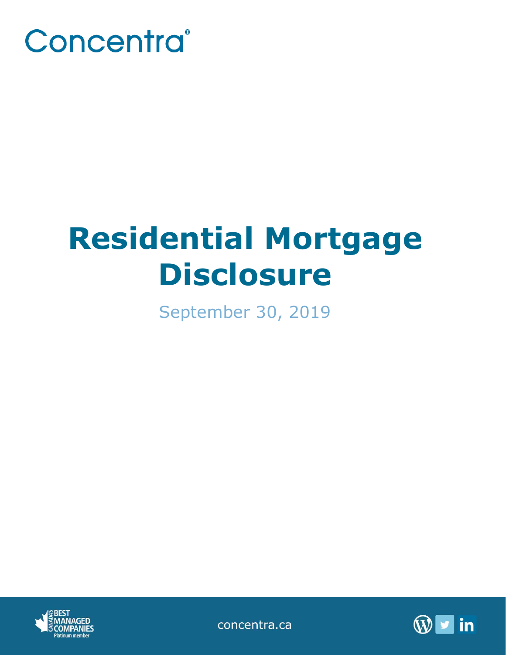

# **Residential Mortgage Disclosure**

September 30, 2019



concentra.ca

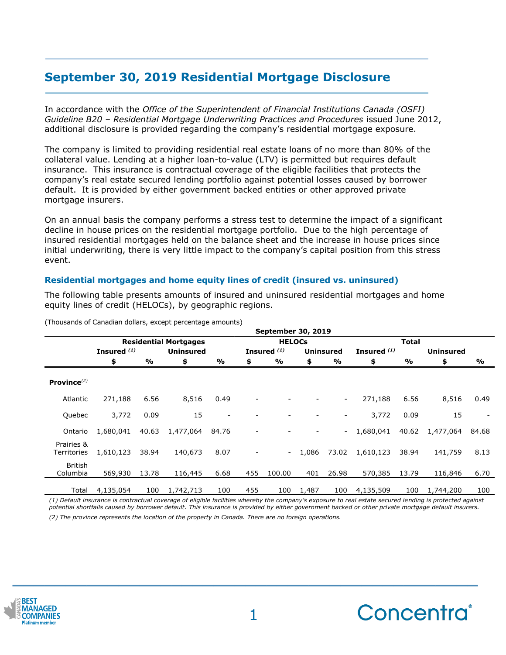# **September 30, 2019 Residential Mortgage Disclosure**

In accordance with the *Office of the Superintendent of Financial Institutions Canada (OSFI) Guideline B20 – Residential Mortgage Underwriting Practices and Procedures* issued June 2012, additional disclosure is provided regarding the company's residential mortgage exposure.

The company is limited to providing residential real estate loans of no more than 80% of the collateral value. Lending at a higher loan-to-value (LTV) is permitted but requires default insurance. This insurance is contractual coverage of the eligible facilities that protects the company's real estate secured lending portfolio against potential losses caused by borrower default. It is provided by either government backed entities or other approved private mortgage insurers.

On an annual basis the company performs a stress test to determine the impact of a significant decline in house prices on the residential mortgage portfolio. Due to the high percentage of insured residential mortgages held on the balance sheet and the increase in house prices since initial underwriting, there is very little impact to the company's capital position from this stress event.

## **Residential mortgages and home equity lines of credit (insured vs. uninsured)**

The following table presents amounts of insured and uninsured residential mortgages and home equity lines of credit (HELOCs), by geographic regions.

|                           | <b>September 30, 2019</b>    |       |                  |                          |               |                        |       |                  |               |       |                  |       |
|---------------------------|------------------------------|-------|------------------|--------------------------|---------------|------------------------|-------|------------------|---------------|-------|------------------|-------|
|                           | <b>Residential Mortgages</b> |       |                  |                          | <b>HELOCs</b> |                        |       |                  | Total         |       |                  |       |
|                           | Insured $(1)$                |       | <b>Uninsured</b> |                          |               | Insured <sup>(1)</sup> |       | <b>Uninsured</b> | Insured $(1)$ |       | <b>Uninsured</b> |       |
|                           | \$                           | %     | \$               | $\frac{9}{6}$            | \$            | %                      | \$    | %                | \$            | %     | \$               | %     |
| Province $^{(2)}$         |                              |       |                  |                          |               |                        |       |                  |               |       |                  |       |
| Atlantic                  | 271,188                      | 6.56  | 8,516            | 0.49                     |               |                        |       | $\sim$           | 271,188       | 6.56  | 8,516            | 0.49  |
| Quebec                    | 3,772                        | 0.09  | 15               | $\overline{\phantom{a}}$ |               |                        |       | -                | 3,772         | 0.09  | 15               |       |
| Ontario                   | 1,680,041                    | 40.63 | 1,477,064        | 84.76                    |               |                        |       |                  | 1,680,041     | 40.62 | 1,477,064        | 84.68 |
| Prairies &<br>Territories | 1,610,123                    | 38.94 | 140,673          | 8.07                     |               | $\blacksquare$         | 1,086 | 73.02            | 1,610,123     | 38.94 | 141,759          | 8.13  |
| British<br>Columbia       | 569,930                      | 13.78 | 116,445          | 6.68                     | 455           | 100.00                 | 401   | 26.98            | 570,385       | 13.79 | 116,846          | 6.70  |
| Total                     | 4,135,054                    | 100   | 1,742,713        | 100                      | 455           | 100                    | 1,487 | 100              | 4,135,509     | 100   | 1,744,200        | 100   |

(Thousands of Canadian dollars, except percentage amounts)

*(1) Default insurance is contractual coverage of eligible facilities whereby the company's exposure to real estate secured lending is protected against potential shortfalls caused by borrower default. This insurance is provided by either government backed or other private mortgage default insurers. (2) The province represents the location of the property in Canada. There are no foreign operations.*



**\_\_\_\_\_\_\_\_\_\_\_\_\_\_\_\_\_\_\_\_\_\_\_\_\_\_\_\_\_\_\_\_\_\_\_\_\_\_\_\_\_\_\_\_**